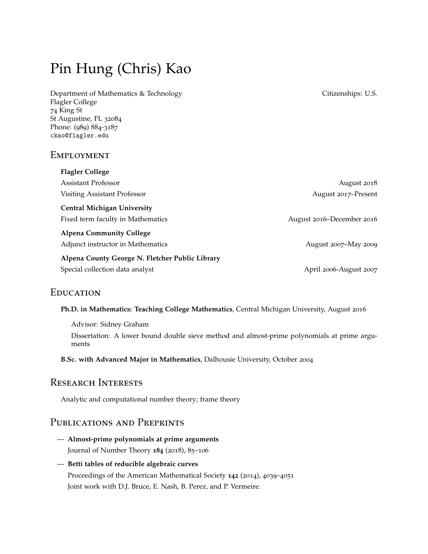# Pin Hung (Chris) Kao

Department of Mathematics & Technology Citizenships: U.S. Flagler College 74 King St St Augustine, FL 32084 Phone: (989) 884-3187 ckao@flagler.edu

## **EMPLOYMENT**

| <b>Flagler College</b>                          |                           |
|-------------------------------------------------|---------------------------|
| <b>Assistant Professor</b>                      | August 2018               |
| Visiting Assistant Professor                    | August 2017–Present       |
| <b>Central Michigan University</b>              |                           |
| Fixed term faculty in Mathematics               | August 2016–December 2016 |
| <b>Alpena Community College</b>                 |                           |
| Adjunct instructor in Mathematics               | August 2007–May 2009      |
| Alpena County George N. Fletcher Public Library |                           |
| Special collection data analyst                 | April 2006-August 2007    |

# **EDUCATION**

**Ph.D. in Mathematics: Teaching College Mathematics**, Central Michigan University, August 2016

Advisor: Sidney Graham Dissertation: A lower bound double sieve method and almost-prime polynomials at prime arguments

**B.Sc. with Advanced Major in Mathematics**, Dalhousie University, October 2004

## Research Interests

Analytic and computational number theory; frame theory

# Publications and Preprints

- **Almost-prime polynomials at prime arguments** Journal of Number Theory **184** (2018), 85–106
- **Betti tables of reducible algebraic curves** Proceedings of the American Mathematical Society **142** (2014), 4039–4051 Joint work with D.J. Bruce, E. Nash, B. Perez, and P. Vermeire.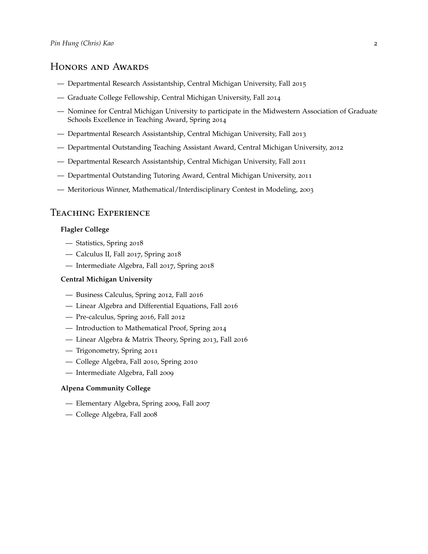## Honors and Awards

- Departmental Research Assistantship, Central Michigan University, Fall 2015
- Graduate College Fellowship, Central Michigan University, Fall 2014
- Nominee for Central Michigan University to participate in the Midwestern Association of Graduate Schools Excellence in Teaching Award, Spring 2014
- Departmental Research Assistantship, Central Michigan University, Fall 2013
- Departmental Outstanding Teaching Assistant Award, Central Michigan University, 2012
- Departmental Research Assistantship, Central Michigan University, Fall 2011
- Departmental Outstanding Tutoring Award, Central Michigan University, 2011
- Meritorious Winner, Mathematical/Interdisciplinary Contest in Modeling, 2003

# Teaching Experience

#### **Flagler College**

- Statistics, Spring 2018
- Calculus II, Fall 2017, Spring 2018
- Intermediate Algebra, Fall 2017, Spring 2018

#### **Central Michigan University**

- Business Calculus, Spring 2012, Fall 2016
- Linear Algebra and Differential Equations, Fall 2016
- Pre-calculus, Spring 2016, Fall 2012
- Introduction to Mathematical Proof, Spring 2014
- Linear Algebra & Matrix Theory, Spring 2013, Fall 2016
- Trigonometry, Spring 2011
- College Algebra, Fall 2010, Spring 2010
- Intermediate Algebra, Fall 2009

#### **Alpena Community College**

- Elementary Algebra, Spring 2009, Fall 2007
- College Algebra, Fall 2008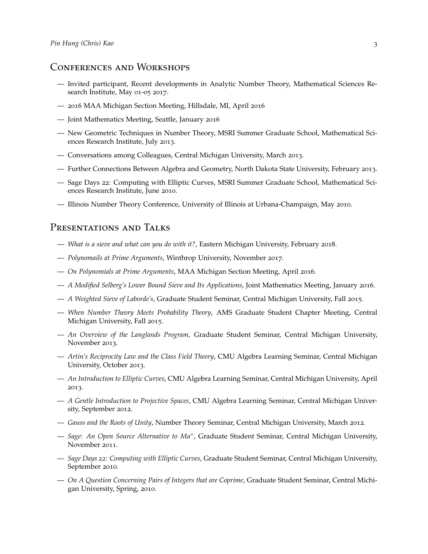## Conferences and Workshops

- Invited participant, Recent developments in Analytic Number Theory, Mathematical Sciences Research Institute, May 01-05 2017.
- 2016 MAA Michigan Section Meeting, Hillsdale, MI, April 2016
- Joint Mathematics Meeting, Seattle, January 2016
- New Geometric Techniques in Number Theory, MSRI Summer Graduate School, Mathematical Sciences Research Institute, July 2013.
- Conversations among Colleagues, Central Michigan University, March 2013.
- Further Connections Between Algebra and Geometry, North Dakota State University, February 2013.
- Sage Days 22: Computing with Elliptic Curves, MSRI Summer Graduate School, Mathematical Sciences Research Institute, June 2010.
- Illinois Number Theory Conference, University of Illinois at Urbana-Champaign, May 2010.

#### PRESENTATIONS AND TALKS

- *What is a sieve and what can you do with it?*, Eastern Michigan University, February 2018.
- *Polynomails at Prime Arguments*, Winthrop University, November 2017.
- *On Polynomials at Prime Arguments*, MAA Michigan Section Meeting, April 2016.
- *A Modified Selberg's Lower Bound Sieve and Its Applications*, Joint Mathematics Meeting, January 2016.
- *A Weighted Sieve of Laborde's*, Graduate Student Seminar, Central Michigan University, Fall 2015.
- *When Number Theory Meets Probability Theory*, AMS Graduate Student Chapter Meeting, Central Michigan University, Fall 2015.
- *An Overview of the Langlands Program*, Graduate Student Seminar, Central Michigan University, November 2013.
- *Artin's Reciprocity Law and the Class Field Theory*, CMU Algebra Learning Seminar, Central Michigan University, October 2013.
- *An Introduction to Elliptic Curves*, CMU Algebra Learning Seminar, Central Michigan University, April 2013.
- *A Gentle Introduction to Projective Spaces*, CMU Algebra Learning Seminar, Central Michigan University, September 2012.
- *Gauss and the Roots of Unity*, Number Theory Seminar, Central Michigan University, March 2012.
- *Sage: An Open Source Alternative to Ma∗* , Graduate Student Seminar, Central Michigan University, November 2011.
- *Sage Days 22: Computing with Elliptic Curves*, Graduate Student Seminar, Central Michigan University, September 2010.
- *On A Question Concerning Pairs of Integers that are Coprime*, Graduate Student Seminar, Central Michigan University, Spring, 2010.